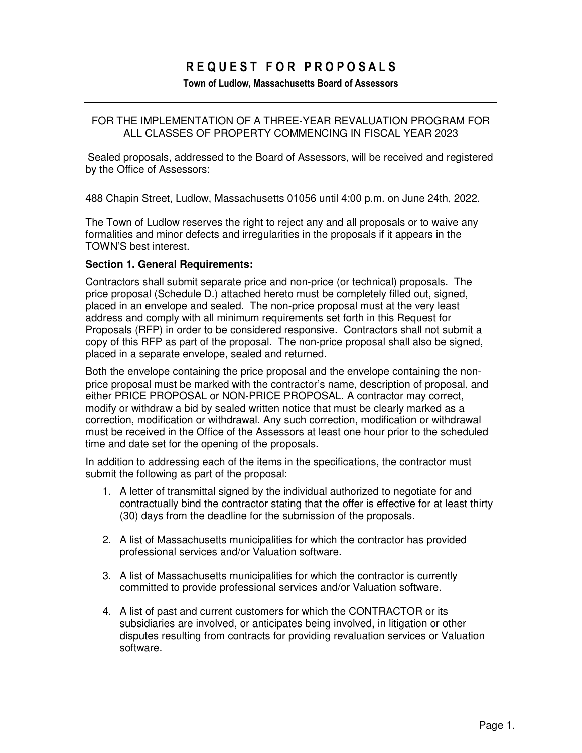# **R E Q U E S T F O R P R O P O S A L S**

#### **Town of Ludlow, Massachusetts Board of Assessors**

## FOR THE IMPLEMENTATION OF A THREE-YEAR REVALUATION PROGRAM FOR ALL CLASSES OF PROPERTY COMMENCING IN FISCAL YEAR 2023

Sealed proposals, addressed to the Board of Assessors, will be received and registered by the Office of Assessors:

488 Chapin Street, Ludlow, Massachusetts 01056 until 4:00 p.m. on June 24th, 2022.

The Town of Ludlow reserves the right to reject any and all proposals or to waive any formalities and minor defects and irregularities in the proposals if it appears in the TOWN'S best interest.

#### **Section 1. General Requirements:**

Contractors shall submit separate price and non-price (or technical) proposals. The price proposal (Schedule D.) attached hereto must be completely filled out, signed, placed in an envelope and sealed. The non-price proposal must at the very least address and comply with all minimum requirements set forth in this Request for Proposals (RFP) in order to be considered responsive. Contractors shall not submit a copy of this RFP as part of the proposal. The non-price proposal shall also be signed, placed in a separate envelope, sealed and returned.

Both the envelope containing the price proposal and the envelope containing the nonprice proposal must be marked with the contractor's name, description of proposal, and either PRICE PROPOSAL or NON-PRICE PROPOSAL. A contractor may correct, modify or withdraw a bid by sealed written notice that must be clearly marked as a correction, modification or withdrawal. Any such correction, modification or withdrawal must be received in the Office of the Assessors at least one hour prior to the scheduled time and date set for the opening of the proposals.

In addition to addressing each of the items in the specifications, the contractor must submit the following as part of the proposal:

- 1. A letter of transmittal signed by the individual authorized to negotiate for and contractually bind the contractor stating that the offer is effective for at least thirty (30) days from the deadline for the submission of the proposals.
- 2. A list of Massachusetts municipalities for which the contractor has provided professional services and/or Valuation software.
- 3. A list of Massachusetts municipalities for which the contractor is currently committed to provide professional services and/or Valuation software.
- 4. A list of past and current customers for which the CONTRACTOR or its subsidiaries are involved, or anticipates being involved, in litigation or other disputes resulting from contracts for providing revaluation services or Valuation software.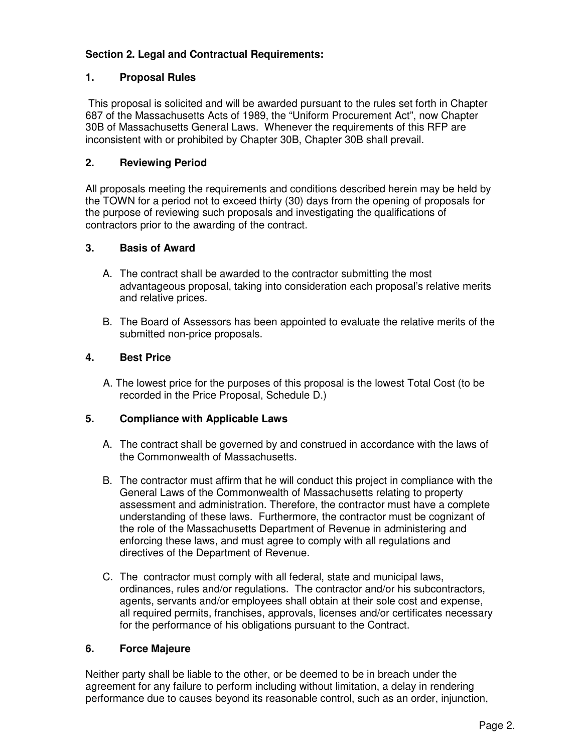## **Section 2. Legal and Contractual Requirements:**

## **1. Proposal Rules**

 This proposal is solicited and will be awarded pursuant to the rules set forth in Chapter 687 of the Massachusetts Acts of 1989, the "Uniform Procurement Act", now Chapter 30B of Massachusetts General Laws. Whenever the requirements of this RFP are inconsistent with or prohibited by Chapter 30B, Chapter 30B shall prevail.

## **2. Reviewing Period**

All proposals meeting the requirements and conditions described herein may be held by the TOWN for a period not to exceed thirty (30) days from the opening of proposals for the purpose of reviewing such proposals and investigating the qualifications of contractors prior to the awarding of the contract.

## **3. Basis of Award**

- A. The contract shall be awarded to the contractor submitting the most advantageous proposal, taking into consideration each proposal's relative merits and relative prices.
- B. The Board of Assessors has been appointed to evaluate the relative merits of the submitted non-price proposals.

## **4. Best Price**

 A. The lowest price for the purposes of this proposal is the lowest Total Cost (to be recorded in the Price Proposal, Schedule D.)

## **5. Compliance with Applicable Laws**

- A. The contract shall be governed by and construed in accordance with the laws of the Commonwealth of Massachusetts.
- B. The contractor must affirm that he will conduct this project in compliance with the General Laws of the Commonwealth of Massachusetts relating to property assessment and administration. Therefore, the contractor must have a complete understanding of these laws. Furthermore, the contractor must be cognizant of the role of the Massachusetts Department of Revenue in administering and enforcing these laws, and must agree to comply with all regulations and directives of the Department of Revenue.
- C. The contractor must comply with all federal, state and municipal laws, ordinances, rules and/or regulations. The contractor and/or his subcontractors, agents, servants and/or employees shall obtain at their sole cost and expense, all required permits, franchises, approvals, licenses and/or certificates necessary for the performance of his obligations pursuant to the Contract.

## **6. Force Majeure**

Neither party shall be liable to the other, or be deemed to be in breach under the agreement for any failure to perform including without limitation, a delay in rendering performance due to causes beyond its reasonable control, such as an order, injunction,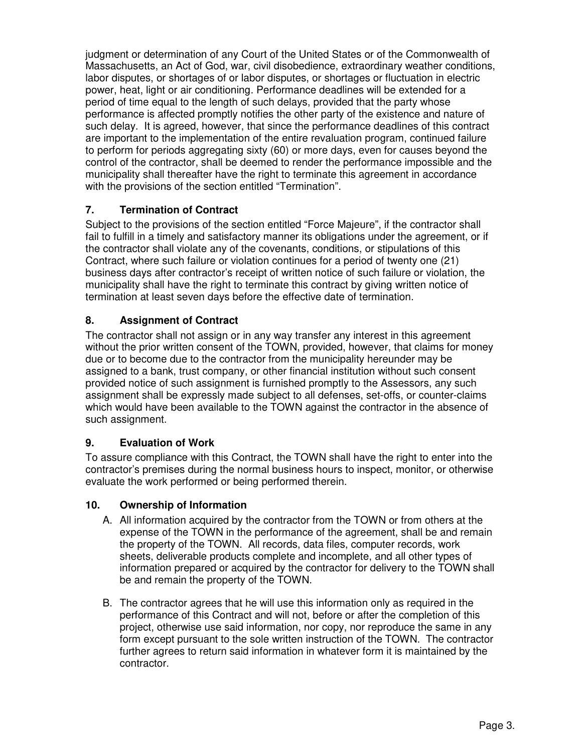judgment or determination of any Court of the United States or of the Commonwealth of Massachusetts, an Act of God, war, civil disobedience, extraordinary weather conditions, labor disputes, or shortages of or labor disputes, or shortages or fluctuation in electric power, heat, light or air conditioning. Performance deadlines will be extended for a period of time equal to the length of such delays, provided that the party whose performance is affected promptly notifies the other party of the existence and nature of such delay. It is agreed, however, that since the performance deadlines of this contract are important to the implementation of the entire revaluation program, continued failure to perform for periods aggregating sixty (60) or more days, even for causes beyond the control of the contractor, shall be deemed to render the performance impossible and the municipality shall thereafter have the right to terminate this agreement in accordance with the provisions of the section entitled "Termination".

## **7. Termination of Contract**

Subject to the provisions of the section entitled "Force Majeure", if the contractor shall fail to fulfill in a timely and satisfactory manner its obligations under the agreement, or if the contractor shall violate any of the covenants, conditions, or stipulations of this Contract, where such failure or violation continues for a period of twenty one (21) business days after contractor's receipt of written notice of such failure or violation, the municipality shall have the right to terminate this contract by giving written notice of termination at least seven days before the effective date of termination.

## **8. Assignment of Contract**

The contractor shall not assign or in any way transfer any interest in this agreement without the prior written consent of the TOWN, provided, however, that claims for money due or to become due to the contractor from the municipality hereunder may be assigned to a bank, trust company, or other financial institution without such consent provided notice of such assignment is furnished promptly to the Assessors, any such assignment shall be expressly made subject to all defenses, set-offs, or counter-claims which would have been available to the TOWN against the contractor in the absence of such assignment.

## **9. Evaluation of Work**

To assure compliance with this Contract, the TOWN shall have the right to enter into the contractor's premises during the normal business hours to inspect, monitor, or otherwise evaluate the work performed or being performed therein.

## **10. Ownership of Information**

- A. All information acquired by the contractor from the TOWN or from others at the expense of the TOWN in the performance of the agreement, shall be and remain the property of the TOWN. All records, data files, computer records, work sheets, deliverable products complete and incomplete, and all other types of information prepared or acquired by the contractor for delivery to the TOWN shall be and remain the property of the TOWN.
- B. The contractor agrees that he will use this information only as required in the performance of this Contract and will not, before or after the completion of this project, otherwise use said information, nor copy, nor reproduce the same in any form except pursuant to the sole written instruction of the TOWN. The contractor further agrees to return said information in whatever form it is maintained by the contractor.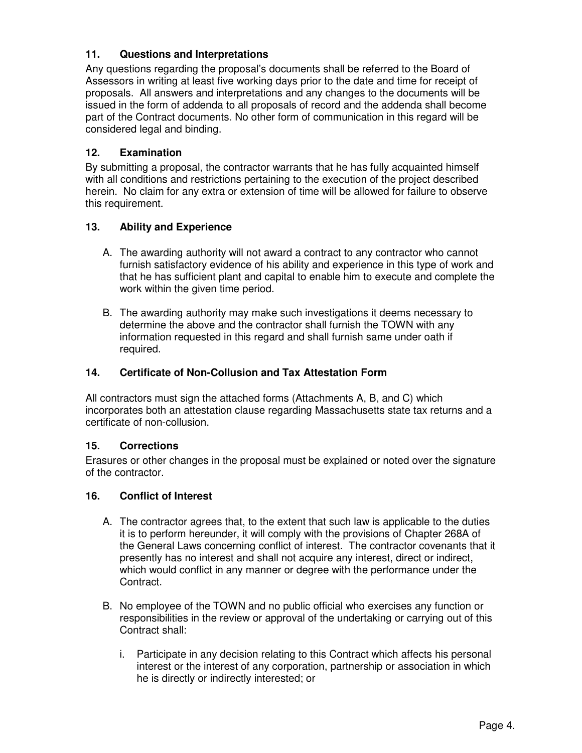## **11. Questions and Interpretations**

Any questions regarding the proposal's documents shall be referred to the Board of Assessors in writing at least five working days prior to the date and time for receipt of proposals. All answers and interpretations and any changes to the documents will be issued in the form of addenda to all proposals of record and the addenda shall become part of the Contract documents. No other form of communication in this regard will be considered legal and binding.

## **12. Examination**

By submitting a proposal, the contractor warrants that he has fully acquainted himself with all conditions and restrictions pertaining to the execution of the project described herein. No claim for any extra or extension of time will be allowed for failure to observe this requirement.

## **13. Ability and Experience**

- A. The awarding authority will not award a contract to any contractor who cannot furnish satisfactory evidence of his ability and experience in this type of work and that he has sufficient plant and capital to enable him to execute and complete the work within the given time period.
- B. The awarding authority may make such investigations it deems necessary to determine the above and the contractor shall furnish the TOWN with any information requested in this regard and shall furnish same under oath if required.

## **14. Certificate of Non-Collusion and Tax Attestation Form**

All contractors must sign the attached forms (Attachments A, B, and C) which incorporates both an attestation clause regarding Massachusetts state tax returns and a certificate of non-collusion.

## **15. Corrections**

Erasures or other changes in the proposal must be explained or noted over the signature of the contractor.

## **16. Conflict of Interest**

- A. The contractor agrees that, to the extent that such law is applicable to the duties it is to perform hereunder, it will comply with the provisions of Chapter 268A of the General Laws concerning conflict of interest. The contractor covenants that it presently has no interest and shall not acquire any interest, direct or indirect, which would conflict in any manner or degree with the performance under the Contract.
- B. No employee of the TOWN and no public official who exercises any function or responsibilities in the review or approval of the undertaking or carrying out of this Contract shall:
	- i. Participate in any decision relating to this Contract which affects his personal interest or the interest of any corporation, partnership or association in which he is directly or indirectly interested; or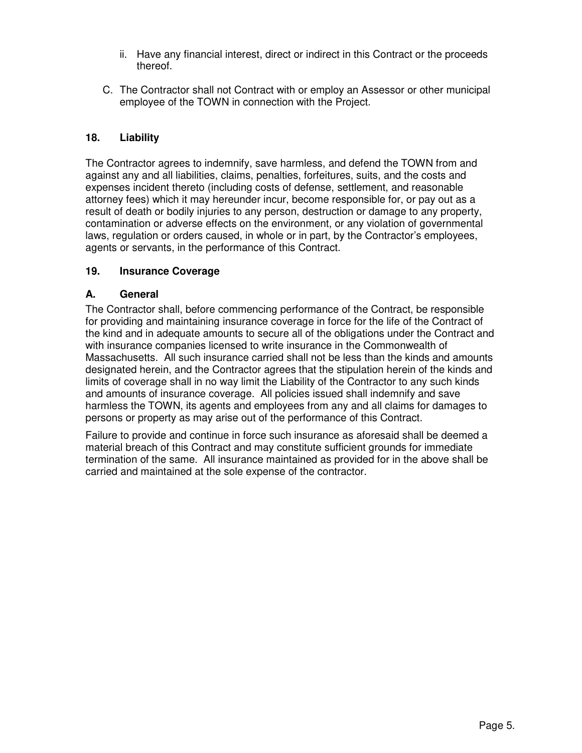- ii. Have any financial interest, direct or indirect in this Contract or the proceeds thereof.
- C. The Contractor shall not Contract with or employ an Assessor or other municipal employee of the TOWN in connection with the Project.

## **18. Liability**

The Contractor agrees to indemnify, save harmless, and defend the TOWN from and against any and all liabilities, claims, penalties, forfeitures, suits, and the costs and expenses incident thereto (including costs of defense, settlement, and reasonable attorney fees) which it may hereunder incur, become responsible for, or pay out as a result of death or bodily injuries to any person, destruction or damage to any property, contamination or adverse effects on the environment, or any violation of governmental laws, regulation or orders caused, in whole or in part, by the Contractor's employees, agents or servants, in the performance of this Contract.

## **19. Insurance Coverage**

## **A. General**

The Contractor shall, before commencing performance of the Contract, be responsible for providing and maintaining insurance coverage in force for the life of the Contract of the kind and in adequate amounts to secure all of the obligations under the Contract and with insurance companies licensed to write insurance in the Commonwealth of Massachusetts. All such insurance carried shall not be less than the kinds and amounts designated herein, and the Contractor agrees that the stipulation herein of the kinds and limits of coverage shall in no way limit the Liability of the Contractor to any such kinds and amounts of insurance coverage. All policies issued shall indemnify and save harmless the TOWN, its agents and employees from any and all claims for damages to persons or property as may arise out of the performance of this Contract.

Failure to provide and continue in force such insurance as aforesaid shall be deemed a material breach of this Contract and may constitute sufficient grounds for immediate termination of the same. All insurance maintained as provided for in the above shall be carried and maintained at the sole expense of the contractor.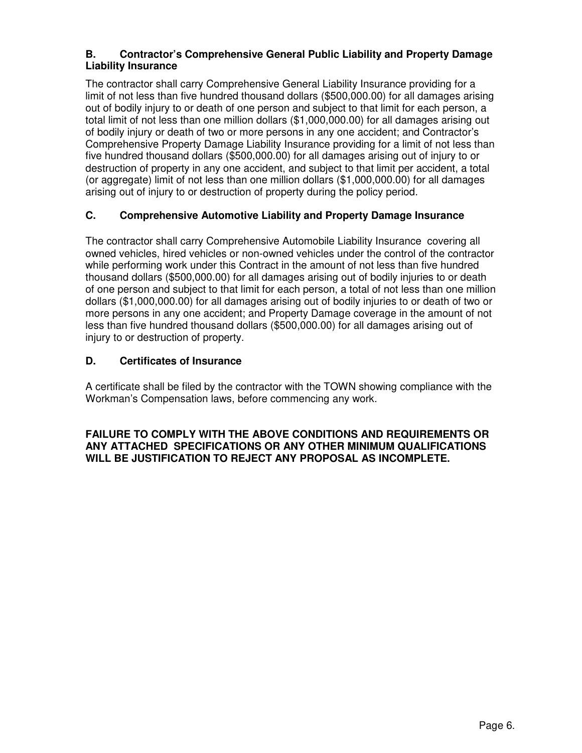## **B. Contractor's Comprehensive General Public Liability and Property Damage Liability Insurance**

The contractor shall carry Comprehensive General Liability Insurance providing for a limit of not less than five hundred thousand dollars (\$500,000.00) for all damages arising out of bodily injury to or death of one person and subject to that limit for each person, a total limit of not less than one million dollars (\$1,000,000.00) for all damages arising out of bodily injury or death of two or more persons in any one accident; and Contractor's Comprehensive Property Damage Liability Insurance providing for a limit of not less than five hundred thousand dollars (\$500,000.00) for all damages arising out of injury to or destruction of property in any one accident, and subject to that limit per accident, a total (or aggregate) limit of not less than one million dollars (\$1,000,000.00) for all damages arising out of injury to or destruction of property during the policy period.

## **C. Comprehensive Automotive Liability and Property Damage Insurance**

The contractor shall carry Comprehensive Automobile Liability Insurance covering all owned vehicles, hired vehicles or non-owned vehicles under the control of the contractor while performing work under this Contract in the amount of not less than five hundred thousand dollars (\$500,000.00) for all damages arising out of bodily injuries to or death of one person and subject to that limit for each person, a total of not less than one million dollars (\$1,000,000.00) for all damages arising out of bodily injuries to or death of two or more persons in any one accident; and Property Damage coverage in the amount of not less than five hundred thousand dollars (\$500,000.00) for all damages arising out of injury to or destruction of property.

## **D. Certificates of Insurance**

A certificate shall be filed by the contractor with the TOWN showing compliance with the Workman's Compensation laws, before commencing any work.

## **FAILURE TO COMPLY WITH THE ABOVE CONDITIONS AND REQUIREMENTS OR ANY ATTACHED SPECIFICATIONS OR ANY OTHER MINIMUM QUALIFICATIONS WILL BE JUSTIFICATION TO REJECT ANY PROPOSAL AS INCOMPLETE.**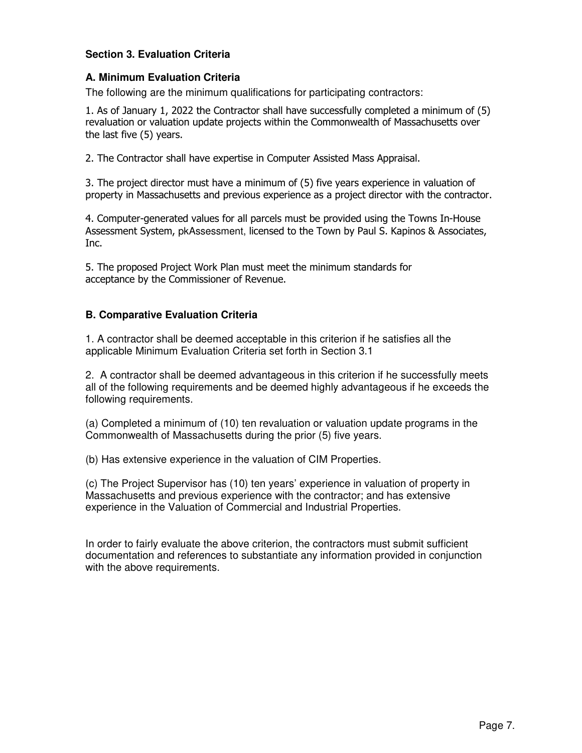## **Section 3. Evaluation Criteria**

### **A. Minimum Evaluation Criteria**

The following are the minimum qualifications for participating contractors:

1. As of January 1, 2022 the Contractor shall have successfully completed a minimum of (5) revaluation or valuation update projects within the Commonwealth of Massachusetts over the last five (5) years.

2. The Contractor shall have expertise in Computer Assisted Mass Appraisal.

3. The project director must have a minimum of (5) five years experience in valuation of property in Massachusetts and previous experience as a project director with the contractor.

4. Computer-generated values for all parcels must be provided using the Towns In-House Assessment System, pkAssessment, licensed to the Town by Paul S. Kapinos & Associates, Inc.

5. The proposed Project Work Plan must meet the minimum standards for acceptance by the Commissioner of Revenue.

## **B. Comparative Evaluation Criteria**

1. A contractor shall be deemed acceptable in this criterion if he satisfies all the applicable Minimum Evaluation Criteria set forth in Section 3.1

2. A contractor shall be deemed advantageous in this criterion if he successfully meets all of the following requirements and be deemed highly advantageous if he exceeds the following requirements.

(a) Completed a minimum of (10) ten revaluation or valuation update programs in the Commonwealth of Massachusetts during the prior (5) five years.

(b) Has extensive experience in the valuation of CIM Properties.

(c) The Project Supervisor has (10) ten years' experience in valuation of property in Massachusetts and previous experience with the contractor; and has extensive experience in the Valuation of Commercial and Industrial Properties.

In order to fairly evaluate the above criterion, the contractors must submit sufficient documentation and references to substantiate any information provided in conjunction with the above requirements.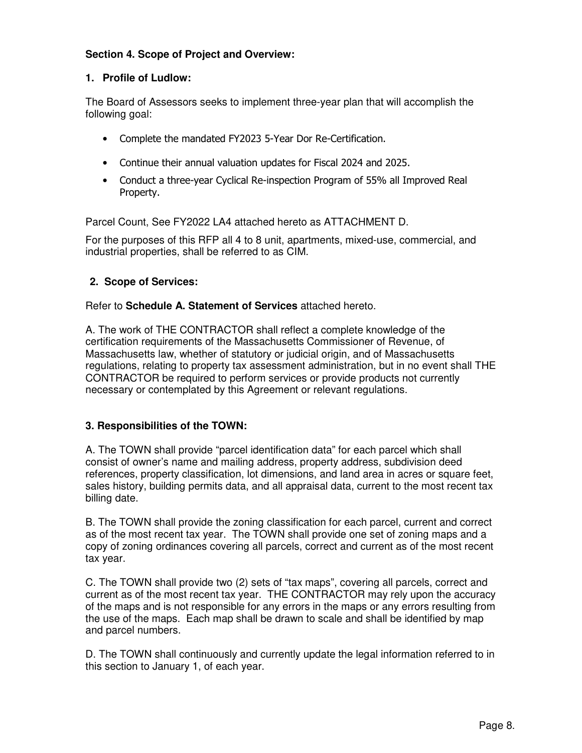## **Section 4. Scope of Project and Overview:**

#### **1. Profile of Ludlow:**

The Board of Assessors seeks to implement three-year plan that will accomplish the following goal:

- Complete the mandated FY2023 5-Year Dor Re-Certification.
- Continue their annual valuation updates for Fiscal 2024 and 2025.
- Conduct a three-year Cyclical Re-inspection Program of 55% all Improved Real Property.

Parcel Count, See FY2022 LA4 attached hereto as ATTACHMENT D.

For the purposes of this RFP all 4 to 8 unit, apartments, mixed-use, commercial, and industrial properties, shall be referred to as CIM.

## **2. Scope of Services:**

Refer to **Schedule A. Statement of Services** attached hereto.

A. The work of THE CONTRACTOR shall reflect a complete knowledge of the certification requirements of the Massachusetts Commissioner of Revenue, of Massachusetts law, whether of statutory or judicial origin, and of Massachusetts regulations, relating to property tax assessment administration, but in no event shall THE CONTRACTOR be required to perform services or provide products not currently necessary or contemplated by this Agreement or relevant regulations.

## **3. Responsibilities of the TOWN:**

A. The TOWN shall provide "parcel identification data" for each parcel which shall consist of owner's name and mailing address, property address, subdivision deed references, property classification, lot dimensions, and land area in acres or square feet, sales history, building permits data, and all appraisal data, current to the most recent tax billing date.

B. The TOWN shall provide the zoning classification for each parcel, current and correct as of the most recent tax year. The TOWN shall provide one set of zoning maps and a copy of zoning ordinances covering all parcels, correct and current as of the most recent tax year.

C. The TOWN shall provide two (2) sets of "tax maps", covering all parcels, correct and current as of the most recent tax year. THE CONTRACTOR may rely upon the accuracy of the maps and is not responsible for any errors in the maps or any errors resulting from the use of the maps. Each map shall be drawn to scale and shall be identified by map and parcel numbers.

D. The TOWN shall continuously and currently update the legal information referred to in this section to January 1, of each year.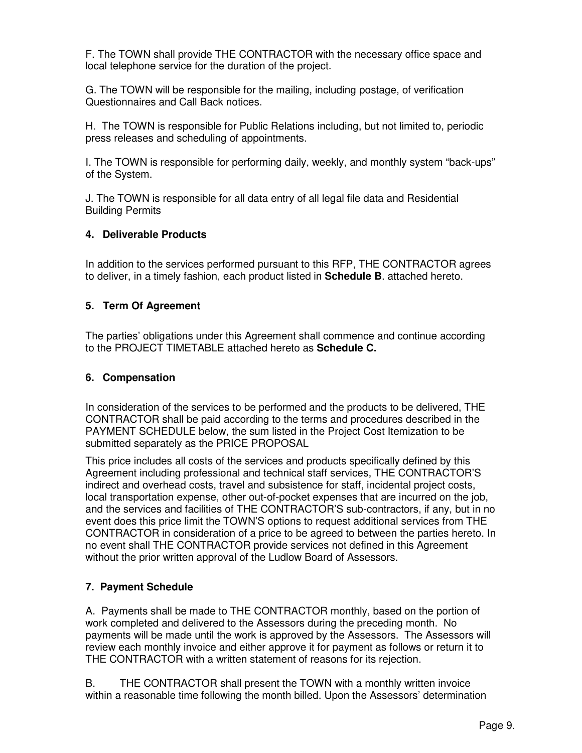F. The TOWN shall provide THE CONTRACTOR with the necessary office space and local telephone service for the duration of the project.

G. The TOWN will be responsible for the mailing, including postage, of verification Questionnaires and Call Back notices.

H. The TOWN is responsible for Public Relations including, but not limited to, periodic press releases and scheduling of appointments.

I. The TOWN is responsible for performing daily, weekly, and monthly system "back-ups" of the System.

J. The TOWN is responsible for all data entry of all legal file data and Residential Building Permits

## **4. Deliverable Products**

In addition to the services performed pursuant to this RFP, THE CONTRACTOR agrees to deliver, in a timely fashion, each product listed in **Schedule B**. attached hereto.

## **5. Term Of Agreement**

The parties' obligations under this Agreement shall commence and continue according to the PROJECT TIMETABLE attached hereto as **Schedule C.**

## **6. Compensation**

In consideration of the services to be performed and the products to be delivered, THE CONTRACTOR shall be paid according to the terms and procedures described in the PAYMENT SCHEDULE below, the sum listed in the Project Cost Itemization to be submitted separately as the PRICE PROPOSAL

This price includes all costs of the services and products specifically defined by this Agreement including professional and technical staff services, THE CONTRACTOR'S indirect and overhead costs, travel and subsistence for staff, incidental project costs, local transportation expense, other out-of-pocket expenses that are incurred on the job, and the services and facilities of THE CONTRACTOR'S sub-contractors, if any, but in no event does this price limit the TOWN'S options to request additional services from THE CONTRACTOR in consideration of a price to be agreed to between the parties hereto. In no event shall THE CONTRACTOR provide services not defined in this Agreement without the prior written approval of the Ludlow Board of Assessors.

## **7. Payment Schedule**

A. Payments shall be made to THE CONTRACTOR monthly, based on the portion of work completed and delivered to the Assessors during the preceding month. No payments will be made until the work is approved by the Assessors. The Assessors will review each monthly invoice and either approve it for payment as follows or return it to THE CONTRACTOR with a written statement of reasons for its rejection.

B. THE CONTRACTOR shall present the TOWN with a monthly written invoice within a reasonable time following the month billed. Upon the Assessors' determination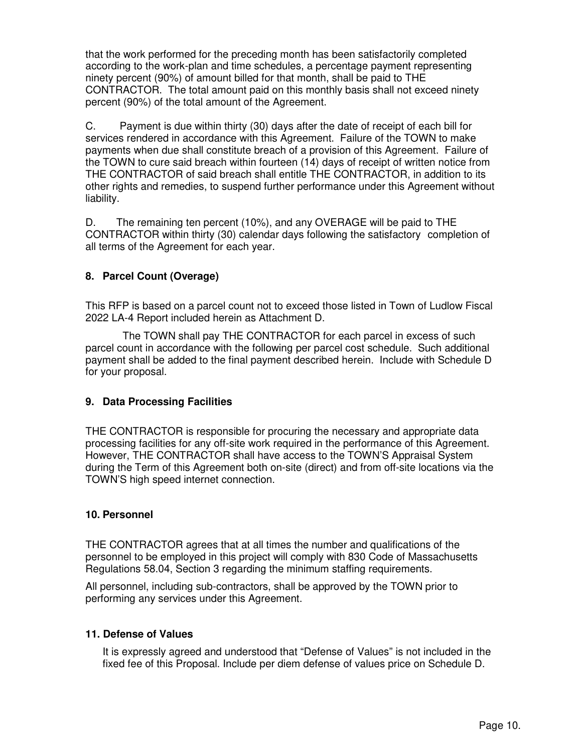that the work performed for the preceding month has been satisfactorily completed according to the work-plan and time schedules, a percentage payment representing ninety percent (90%) of amount billed for that month, shall be paid to THE CONTRACTOR. The total amount paid on this monthly basis shall not exceed ninety percent (90%) of the total amount of the Agreement.

C. Payment is due within thirty (30) days after the date of receipt of each bill for services rendered in accordance with this Agreement. Failure of the TOWN to make payments when due shall constitute breach of a provision of this Agreement. Failure of the TOWN to cure said breach within fourteen (14) days of receipt of written notice from THE CONTRACTOR of said breach shall entitle THE CONTRACTOR, in addition to its other rights and remedies, to suspend further performance under this Agreement without liability.

D. The remaining ten percent (10%), and any OVERAGE will be paid to THE CONTRACTOR within thirty (30) calendar days following the satisfactory completion of all terms of the Agreement for each year.

## **8. Parcel Count (Overage)**

This RFP is based on a parcel count not to exceed those listed in Town of Ludlow Fiscal 2022 LA-4 Report included herein as Attachment D.

 The TOWN shall pay THE CONTRACTOR for each parcel in excess of such parcel count in accordance with the following per parcel cost schedule. Such additional payment shall be added to the final payment described herein. Include with Schedule D for your proposal.

## **9. Data Processing Facilities**

THE CONTRACTOR is responsible for procuring the necessary and appropriate data processing facilities for any off-site work required in the performance of this Agreement. However, THE CONTRACTOR shall have access to the TOWN'S Appraisal System during the Term of this Agreement both on-site (direct) and from off-site locations via the TOWN'S high speed internet connection.

#### **10. Personnel**

THE CONTRACTOR agrees that at all times the number and qualifications of the personnel to be employed in this project will comply with 830 Code of Massachusetts Regulations 58.04, Section 3 regarding the minimum staffing requirements.

All personnel, including sub-contractors, shall be approved by the TOWN prior to performing any services under this Agreement.

#### **11. Defense of Values**

It is expressly agreed and understood that "Defense of Values" is not included in the fixed fee of this Proposal. Include per diem defense of values price on Schedule D.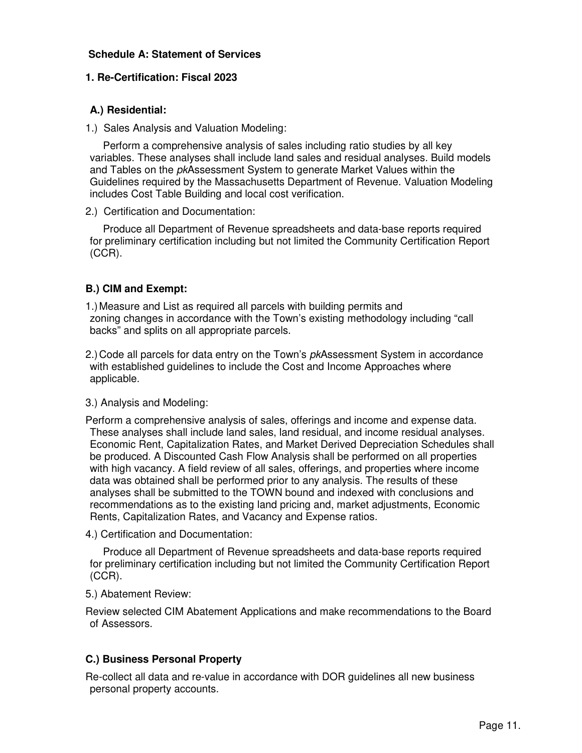### **Schedule A: Statement of Services**

#### **1. Re-Certification: Fiscal 2023**

### **A.) Residential:**

1.) Sales Analysis and Valuation Modeling:

 Perform a comprehensive analysis of sales including ratio studies by all key variables. These analyses shall include land sales and residual analyses. Build models and Tables on the *pkAssessment System to generate Market Values within the* Guidelines required by the Massachusetts Department of Revenue. Valuation Modeling includes Cost Table Building and local cost verification.

2.) Certification and Documentation:

 Produce all Department of Revenue spreadsheets and data-base reports required for preliminary certification including but not limited the Community Certification Report (CCR).

## **B.) CIM and Exempt:**

1.) Measure and List as required all parcels with building permits and zoning changes in accordance with the Town's existing methodology including "call backs" and splits on all appropriate parcels.

2.) Code all parcels for data entry on the Town's *pkAssessment System in accordance* with established guidelines to include the Cost and Income Approaches where applicable.

#### 3.) Analysis and Modeling:

Perform a comprehensive analysis of sales, offerings and income and expense data. These analyses shall include land sales, land residual, and income residual analyses. Economic Rent, Capitalization Rates, and Market Derived Depreciation Schedules shall be produced. A Discounted Cash Flow Analysis shall be performed on all properties with high vacancy. A field review of all sales, offerings, and properties where income data was obtained shall be performed prior to any analysis. The results of these analyses shall be submitted to the TOWN bound and indexed with conclusions and recommendations as to the existing land pricing and, market adjustments, Economic Rents, Capitalization Rates, and Vacancy and Expense ratios.

4.) Certification and Documentation:

 Produce all Department of Revenue spreadsheets and data-base reports required for preliminary certification including but not limited the Community Certification Report (CCR).

5.) Abatement Review:

Review selected CIM Abatement Applications and make recommendations to the Board of Assessors.

## **C.) Business Personal Property**

Re-collect all data and re-value in accordance with DOR guidelines all new business personal property accounts.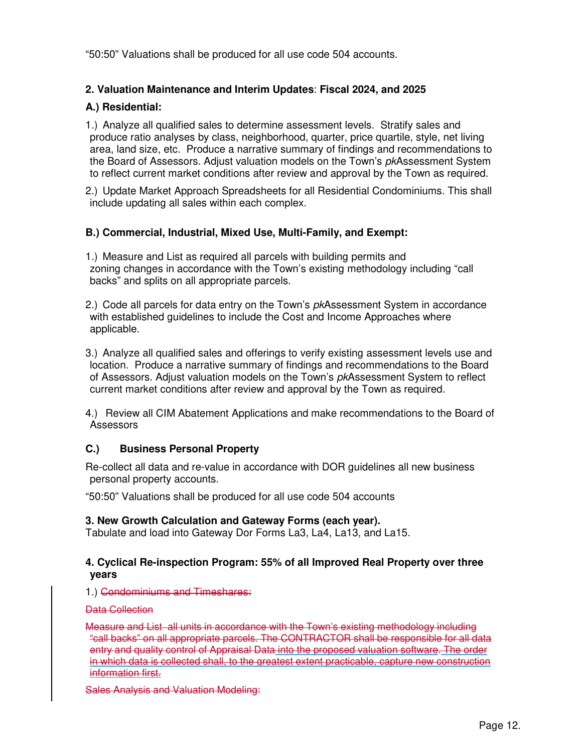"50:50" Valuations shall be produced for all use code 504 accounts.

## **2. Valuation Maintenance and Interim Updates**: **Fiscal 2024, and 2025**

## **A.) Residential:**

1.) Analyze all qualified sales to determine assessment levels. Stratify sales and produce ratio analyses by class, neighborhood, quarter, price quartile, style, net living area, land size, etc. Produce a narrative summary of findings and recommendations to the Board of Assessors. Adjust valuation models on the Town's pkAssessment System to reflect current market conditions after review and approval by the Town as required.

2.) Update Market Approach Spreadsheets for all Residential Condominiums. This shall include updating all sales within each complex.

#### **B.) Commercial, Industrial, Mixed Use, Multi-Family, and Exempt:**

1.) Measure and List as required all parcels with building permits and zoning changes in accordance with the Town's existing methodology including "call backs" and splits on all appropriate parcels.

2.) Code all parcels for data entry on the Town's *pkAssessment System in accordance* with established guidelines to include the Cost and Income Approaches where applicable.

3.) Analyze all qualified sales and offerings to verify existing assessment levels use and location. Produce a narrative summary of findings and recommendations to the Board of Assessors. Adjust valuation models on the Town's pkAssessment System to reflect current market conditions after review and approval by the Town as required.

4.) Review all CIM Abatement Applications and make recommendations to the Board of Assessors

## **C.) Business Personal Property**

Re-collect all data and re-value in accordance with DOR guidelines all new business personal property accounts.

"50:50" Valuations shall be produced for all use code 504 accounts

#### **3. New Growth Calculation and Gateway Forms (each year).**

Tabulate and load into Gateway Dor Forms La3, La4, La13, and La15.

#### **4. Cyclical Re-inspection Program: 55% of all Improved Real Property over three years**

1.) Condominiums and Timeshares:

#### Data Collection

Measure and List all units in accordance with the Town's existing methodology including "call backs" on all appropriate parcels. The CONTRACTOR shall be responsible for all data entry and quality control of Appraisal Data into the proposed valuation software. The order in which data is collected shall, to the greatest extent practicable, capture new construction information first.

Sales Analysis and Valuation Modeling: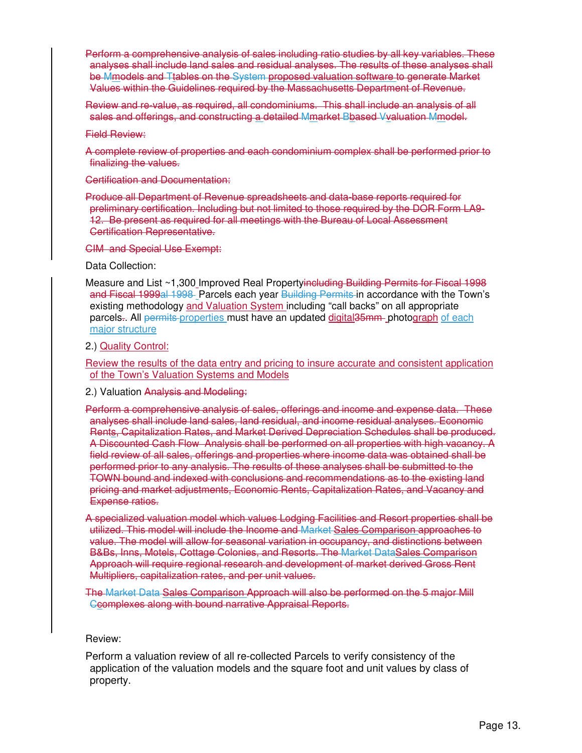Perform a comprehensive analysis of sales including ratio studies by all key variables. These analyses shall include land sales and residual analyses. The results of these analyses shall be Mmodels and Ttables on the System proposed valuation software to generate Market Values within the Guidelines required by the Massachusetts Department of Revenue.

Review and re-value, as required, all condominiums. This shall include an analysis of all sales and offerings, and constructing a detailed Mmarket Bbased Vvaluation Mmodel.

Field Review:

A complete review of properties and each condominium complex shall be performed prior to finalizing the values.

Certification and Documentation:

Produce all Department of Revenue spreadsheets and data-base reports required for preliminary certification. Including but not limited to those required by the DOR Form LA9- 12. Be present as required for all meetings with the Bureau of Local Assessment Certification Representative.

CIM and Special Use Exempt:

Data Collection:

Measure and List ~1,300 Improved Real Propertyincluding Building Permits for Fiscal 1998 and Fiscal 1999al 1998 Parcels each year Building Permits in accordance with the Town's existing methodology and Valuation System including "call backs" on all appropriate parcels.. All permits properties must have an updated digital 35mm photograph of each major structure

2.) Quality Control:

Review the results of the data entry and pricing to insure accurate and consistent application of the Town's Valuation Systems and Models

2.) Valuation Analysis and Modeling:

Perform a comprehensive analysis of sales, offerings and income and expense data. These analyses shall include land sales, land residual, and income residual analyses. Economic Rents, Capitalization Rates, and Market Derived Depreciation Schedules shall be produced. A Discounted Cash Flow Analysis shall be performed on all properties with high vacancy. A field review of all sales, offerings and properties where income data was obtained shall be performed prior to any analysis. The results of these analyses shall be submitted to the TOWN bound and indexed with conclusions and recommendations as to the existing land pricing and market adjustments, Economic Rents, Capitalization Rates, and Vacancy and Expense ratios.

A specialized valuation model which values Lodging Facilities and Resort properties shall be utilized. This model will include the Income and Market Sales Comparison approaches to value. The model will allow for seasonal variation in occupancy, and distinctions between B&Bs, Inns, Motels, Cottage Colonies, and Resorts. The Market DataSales Comparison Approach will require regional research and development of market derived Gross Rent Multipliers, capitalization rates, and per unit values.

The Market Data Sales Comparison Approach will also be performed on the 5 major Mill Ccomplexes along with bound narrative Appraisal Reports.

Review:

Perform a valuation review of all re-collected Parcels to verify consistency of the application of the valuation models and the square foot and unit values by class of property.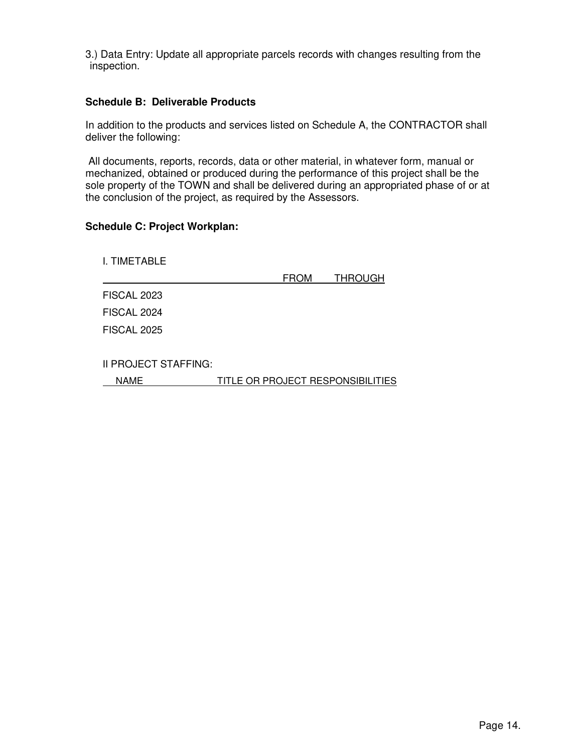3.) Data Entry: Update all appropriate parcels records with changes resulting from the inspection.

### **Schedule B: Deliverable Products**

In addition to the products and services listed on Schedule A, the CONTRACTOR shall deliver the following:

 All documents, reports, records, data or other material, in whatever form, manual or mechanized, obtained or produced during the performance of this project shall be the sole property of the TOWN and shall be delivered during an appropriated phase of or at the conclusion of the project, as required by the Assessors.

#### **Schedule C: Project Workplan:**

| I. TIMETABLE         |                                   |                |
|----------------------|-----------------------------------|----------------|
|                      | <b>FROM</b>                       | <b>THROUGH</b> |
| <b>FISCAL 2023</b>   |                                   |                |
| FISCAL 2024          |                                   |                |
| <b>FISCAL 2025</b>   |                                   |                |
| II PROJECT STAFFING: |                                   |                |
| NAME                 | TITLE OR PROJECT RESPONSIBILITIES |                |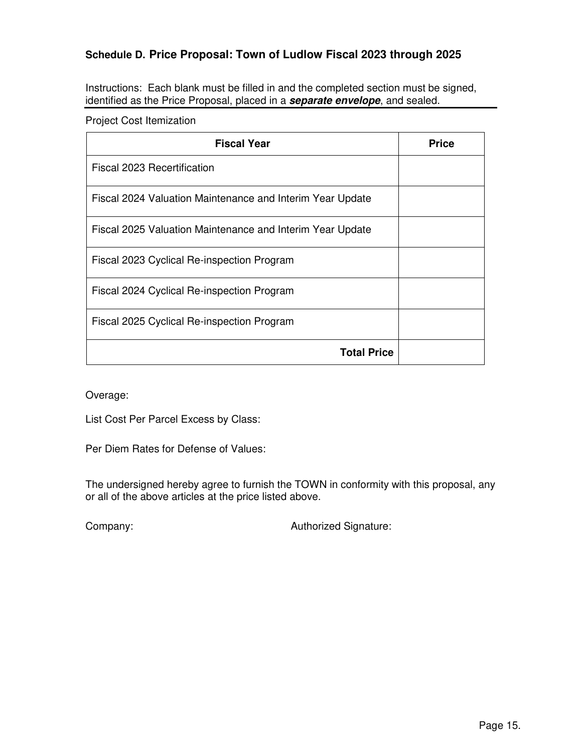# **Schedule D. Price Proposal: Town of Ludlow Fiscal 2023 through 2025**

Instructions: Each blank must be filled in and the completed section must be signed, identified as the Price Proposal, placed in a **separate envelope**, and sealed.

Project Cost Itemization

| <b>Fiscal Year</b>                                        | <b>Price</b> |
|-----------------------------------------------------------|--------------|
| Fiscal 2023 Recertification                               |              |
| Fiscal 2024 Valuation Maintenance and Interim Year Update |              |
| Fiscal 2025 Valuation Maintenance and Interim Year Update |              |
| Fiscal 2023 Cyclical Re-inspection Program                |              |
| Fiscal 2024 Cyclical Re-inspection Program                |              |
| Fiscal 2025 Cyclical Re-inspection Program                |              |
| <b>Total Price</b>                                        |              |

Overage:

List Cost Per Parcel Excess by Class:

Per Diem Rates for Defense of Values:

The undersigned hereby agree to furnish the TOWN in conformity with this proposal, any or all of the above articles at the price listed above.

Company: Company: Company: Company: Company: Company:  $\alpha$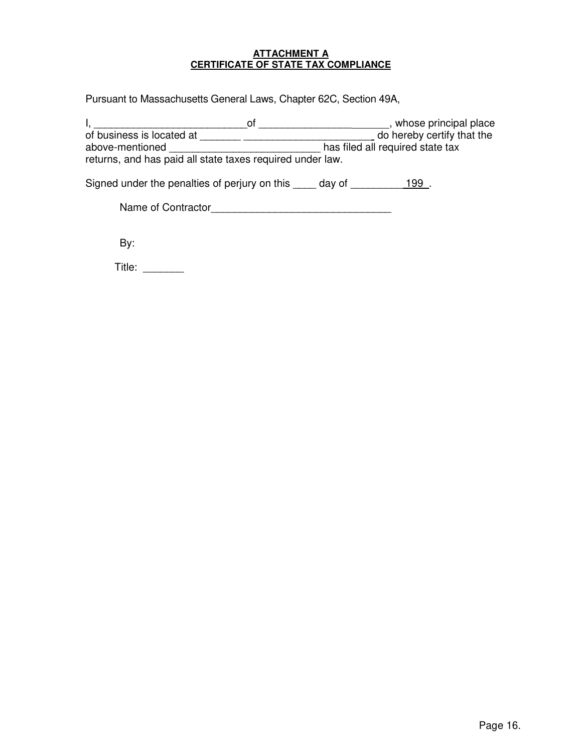#### **ATTACHMENT A CERTIFICATE OF STATE TAX COMPLIANCE**

Pursuant to Massachusetts General Laws, Chapter 62C, Section 49A,

|                                                           | ΩT | , whose principal place          |
|-----------------------------------------------------------|----|----------------------------------|
| of business is located at                                 |    | do hereby certify that the       |
| above-mentioned                                           |    | has filed all required state tax |
| returns, and has paid all state taxes required under law. |    |                                  |
|                                                           |    |                                  |

Signed under the penalties of perjury on this \_\_\_\_ day of \_\_\_\_\_\_\_\_ 199.

| Name of Contractor |  |
|--------------------|--|
|--------------------|--|

By:

Title: \_\_\_\_\_\_\_\_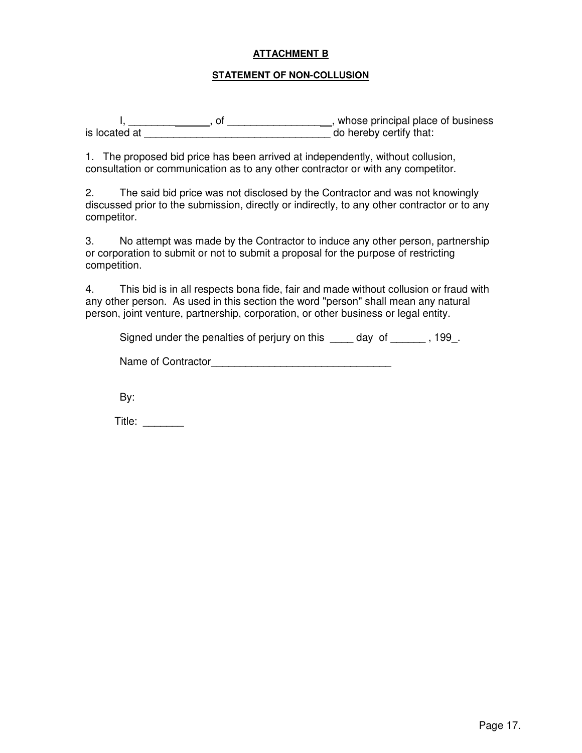### **ATTACHMENT B**

#### **STATEMENT OF NON-COLLUSION**

 I, \_\_\_\_\_\_\_\_ , of \_\_\_\_\_\_\_\_\_\_\_\_\_\_\_\_ , whose principal place of business is located at \_\_\_\_\_\_\_\_\_\_\_\_\_\_\_\_\_\_\_\_\_\_\_\_\_\_\_\_\_\_\_\_ do hereby certify that:

1. The proposed bid price has been arrived at independently, without collusion, consultation or communication as to any other contractor or with any competitor.

2. The said bid price was not disclosed by the Contractor and was not knowingly discussed prior to the submission, directly or indirectly, to any other contractor or to any competitor.

3. No attempt was made by the Contractor to induce any other person, partnership or corporation to submit or not to submit a proposal for the purpose of restricting competition.

4. This bid is in all respects bona fide, fair and made without collusion or fraud with any other person. As used in this section the word "person" shall mean any natural person, joint venture, partnership, corporation, or other business or legal entity.

Signed under the penalties of perjury on this \_\_\_\_ day of \_\_\_\_\_\_, 199.

Name of Contractor\_\_\_\_\_\_\_\_\_\_\_\_\_\_\_\_\_\_\_\_\_\_\_\_\_\_\_\_\_\_\_

By:

Title: \_\_\_\_\_\_\_\_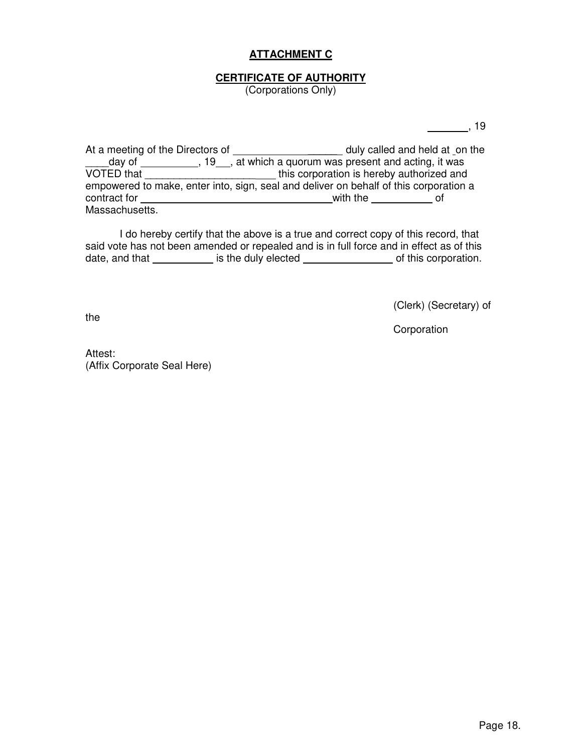# **ATTACHMENT C**

## **CERTIFICATE OF AUTHORITY**

(Corporations Only)

 $\frac{1}{2}$ , 19

At a meeting of the Directors of \_\_\_\_\_\_\_\_\_\_\_\_\_\_\_\_\_\_\_\_\_\_\_ duly called and held at \_on the day of \_\_\_\_\_\_\_\_\_\_, 19\_\_, at which a quorum was present and acting, it was VOTED that \_\_\_\_\_\_\_\_\_\_\_\_\_\_\_\_\_\_\_\_\_\_\_\_\_\_\_\_\_\_this corporation is hereby authorized and empowered to make, enter into, sign, seal and deliver on behalf of this corporation a contract for with the of Massachusetts.

 I do hereby certify that the above is a true and correct copy of this record, that said vote has not been amended or repealed and is in full force and in effect as of this date, and that is the duly elected of this corporation.

(Clerk) (Secretary) of

Corporation

Attest: (Affix Corporate Seal Here)

the